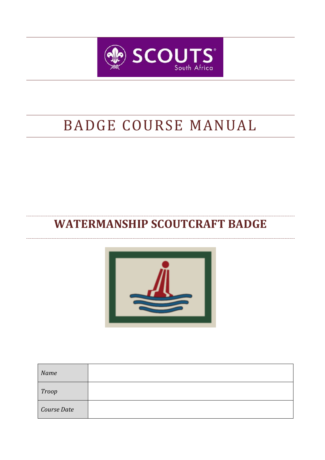

# BADGE COURSE MANUAL

# **WATERMANSHIP SCOUTCRAFT BADGE**



| Name         |  |
|--------------|--|
| <b>Troop</b> |  |
| Course Date  |  |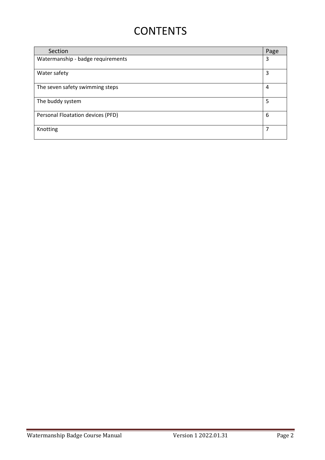# **CONTENTS**

| Section                           | Page |
|-----------------------------------|------|
| Watermanship - badge requirements |      |
| Water safety                      | 3    |
|                                   |      |
| The seven safety swimming steps   |      |
| The buddy system                  |      |
| Personal Floatation devices (PFD) |      |
| Knotting                          | 7    |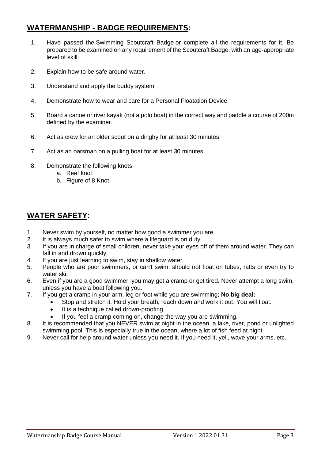# **WATERMANSHIP - BADGE REQUIREMENTS:**

- 1. Have passed the Swimming Scoutcraft Badge or complete all the requirements for it. Be prepared to be examined on any requirement of the Scoutcraft Badge, with an age-appropriate level of skill.
- 2. Explain how to be safe around water.
- 3. Understand and apply the buddy system.
- 4. Demonstrate how to wear and care for a Personal Floatation Device.
- 5. Board a canoe or river kayak (not a polo boat) in the correct way and paddle a course of 200m defined by the examiner.
- 6. Act as crew for an older scout on a dinghy for at least 30 minutes.
- 7. Act as an oarsman on a pulling boat for at least 30 minutes
- 8. Demonstrate the following knots:
	- a. Reef knot
	- b. Figure of 8 Knot

# **WATER SAFETY:**

- 1. Never swim by yourself, no matter how good a swimmer you are.
- 2. It is always much safer to swim where a lifeguard is on duty.
- 3. If you are in charge of small children, never take your eyes off of them around water. They can fall in and drown quickly.
- 4. If you are just learning to swim, stay in shallow water.
- 5. People who are poor swimmers, or can't swim, should not float on tubes, rafts or even try to water ski.
- 6. Even if you are a good swimmer, you may get a cramp or get tired. Never attempt a long swim, unless you have a boat following you.
- 7. If you get a cramp in your arm, leg or foot while you are swimming; **No big deal:**
	- Stop and stretch it. Hold your breath, reach down and work it out. You will float.
	- It is a technique called drown-proofing.
	- If you feel a cramp coming on, change the way you are swimming.
- 8. It is recommended that you NEVER swim at night in the ocean, a lake, river, pond or unlighted swimming pool. This is especially true in the ocean, where a lot of fish feed at night.
- 9. Never call for help around water unless you need it. If you need it, yell, wave your arms, etc.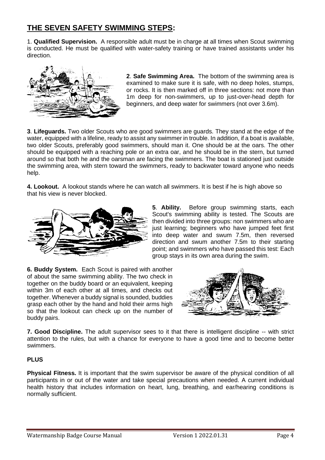# **THE SEVEN SAFETY SWIMMING STEPS:**

1. **Qualified Supervision.** A responsible adult must be in charge at all times when Scout swimming is conducted. He must be qualified with water-safety training or have trained assistants under his direction.



**2**. **Safe Swimming Area.** The bottom of the swimming area is examined to make sure it is safe, with no deep holes, stumps, or rocks. It is then marked off in three sections: not more than 1m deep for non-swimmers, up to just-over-head depth for beginners, and deep water for swimmers (not over 3.6m).

**3**. **Lifeguards.** Two older Scouts who are good swimmers are guards. They stand at the edge of the water, equipped with a lifeline, ready to assist any swimmer in trouble. In addition, if a boat is available, two older Scouts, preferably good swimmers, should man it. One should be at the oars. The other should be equipped with a reaching pole or an extra oar, and he should be in the stern, but turned around so that both he and the oarsman are facing the swimmers. The boat is stationed just outside the swimming area, with stern toward the swimmers, ready to backwater toward anyone who needs help.

**4. Lookout.** A lookout stands where he can watch all swimmers. It is best if he is high above so that his view is never blocked.



**5**. **Ability.** Before group swimming starts, each Scout's swimming ability is tested. The Scouts are then divided into three groups: non swimmers who are just learning; beginners who have jumped feet first into deep water and swum 7.5m, then reversed direction and swum another 7.5m to their starting point; and swimmers who have passed this test: Each group stays in its own area during the swim.

**6. Buddy System.** Each Scout is paired with another of about the same swimming ability. The two check in together on the buddy board or an equivalent, keeping within 3m of each other at all times, and checks out together. Whenever a buddy signal is sounded, buddies grasp each other by the hand and hold their arms high so that the lookout can check up on the number of buddy pairs.



**7. Good Discipline.** The adult supervisor sees to it that there is intelligent discipline -- with strict attention to the rules, but with a chance for everyone to have a good time and to become better swimmers.

# **PLUS**

**Physical Fitness.** It is important that the swim supervisor be aware of the physical condition of all participants in or out of the water and take special precautions when needed. A current individual health history that includes information on heart, lung, breathing, and ear/hearing conditions is normally sufficient.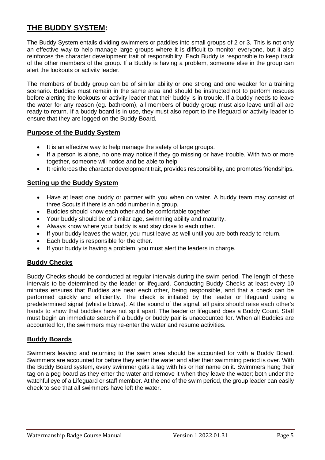# **THE BUDDY SYSTEM:**

The Buddy System entails dividing swimmers or paddles into small groups of 2 or 3. This is not only an effective way to help manage large groups where it is difficult to monitor everyone, but it also reinforces the character development trait of responsibility. Each Buddy is responsible to keep track of the other members of the group. If a Buddy is having a problem, someone else in the group can alert the lookouts or activity leader.

The members of buddy group can be of similar ability or one strong and one weaker for a training scenario. Buddies must remain in the same area and should be instructed not to perform rescues before alerting the lookouts or activity leader that their buddy is in trouble. If a buddy needs to leave the water for any reason (eg. bathroom), all members of buddy group must also leave until all are ready to return. If a buddy board is in use, they must also report to the lifeguard or activity leader to ensure that they are logged on the Buddy Board.

# **Purpose of the Buddy System**

- It is an effective way to help manage the safety of large groups.
- If a person is alone, no one may notice if they go missing or have trouble. With two or more together, someone will notice and be able to help.
- It reinforces the character development trait, provides responsibility, and promotes friendships.

#### **Setting up the Buddy System**

- Have at least one buddy or partner with you when on water. A buddy team may consist of three Scouts if there is an odd number in a group.
- Buddies should know each other and be comfortable together.
- Your buddy should be of similar age, swimming ability and maturity.
- Always know where your buddy is and stay close to each other.
- If your buddy leaves the water, you must leave as well until you are both ready to return.
- Each buddy is responsible for the other.
- If your buddy is having a problem, you must alert the leaders in charge.

# **Buddy Checks**

Buddy Checks should be conducted at regular intervals during the swim period. The length of these intervals to be determined by the leader or lifeguard. Conducting Buddy Checks at least every 10 minutes ensures that Buddies are near each other, being responsible, and that a check can be performed quickly and efficiently. The check is initiated by the leader or lifeguard using a predetermined signal (whistle blows). At the sound of the signal, all pairs should raise each other's hands to show that buddies have not split apart. The leader or lifeguard does a Buddy Count. Staff must begin an immediate search if a buddy or buddy pair is unaccounted for. When all Buddies are accounted for, the swimmers may re-enter the water and resume activities.

# **Buddy Boards**

Swimmers leaving and returning to the swim area should be accounted for with a Buddy Board. Swimmers are accounted for before they enter the water and after their swimming period is over. With the Buddy Board system, every swimmer gets a tag with his or her name on it. Swimmers hang their tag on a peg board as they enter the water and remove it when they leave the water; both under the watchful eye of a Lifeguard or staff member. At the end of the swim period, the group leader can easily check to see that all swimmers have left the water.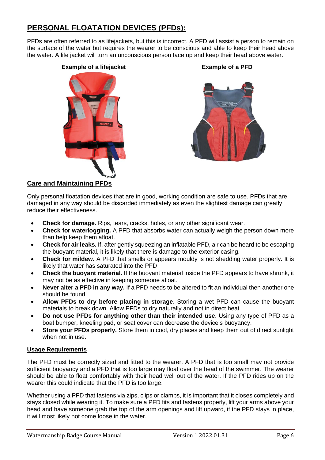# **PERSONAL FLOATATION DEVICES (PFDs):**

PFDs are often referred to as lifejackets, but this is incorrect. A PFD will assist a person to remain on the surface of the water but requires the wearer to be conscious and able to keep their head above the water. A life jacket will turn an unconscious person face up and keep their head above water.

#### **Example of a lifejacket Example of a PFD**



# **Care and Maintaining PFDs**

Only personal floatation devices that are in good, working condition are safe to use. PFDs that are damaged in any way should be discarded immediately as even the slightest damage can greatly reduce their effectiveness.

- **Check for damage.** Rips, tears, cracks, holes, or any other significant wear.
- **Check for waterlogging.** A PFD that absorbs water can actually weigh the person down more than help keep them afloat.
- **Check for air leaks.** If, after gently squeezing an inflatable PFD, air can be heard to be escaping the buoyant material, it is likely that there is damage to the exterior casing.
- **Check for mildew.** A PFD that smells or appears mouldy is not shedding water properly. It is likely that water has saturated into the PFD
- **Check the buoyant material.** If the buoyant material inside the PFD appears to have shrunk, it may not be as effective in keeping someone afloat.
- **Never alter a PFD in any way.** If a PFD needs to be altered to fit an individual then another one should be found.
- **Allow PFDs to dry before placing in storage**. Storing a wet PFD can cause the buoyant materials to break down. Allow PFDs to dry naturally and not in direct heat.
- **Do not use PFDs for anything other than their intended use**. Using any type of PFD as a boat bumper, kneeling pad, or seat cover can decrease the device's buoyancy.
- **Store your PFDs properly.** Store them in cool, dry places and keep them out of direct sunlight when not in use.

#### **Usage Requirements**

The PFD must be correctly sized and fitted to the wearer. A PFD that is too small may not provide sufficient buoyancy and a PFD that is too large may float over the head of the swimmer. The wearer should be able to float comfortably with their head well out of the water. If the PFD rides up on the wearer this could indicate that the PFD is too large.

Whether using a PFD that fastens via zips, clips or clamps, it is important that it closes completely and stays closed while wearing it. To make sure a PFD fits and fastens properly, lift your arms above your head and have someone grab the top of the arm openings and lift upward, if the PFD stays in place, it will most likely not come loose in the water.